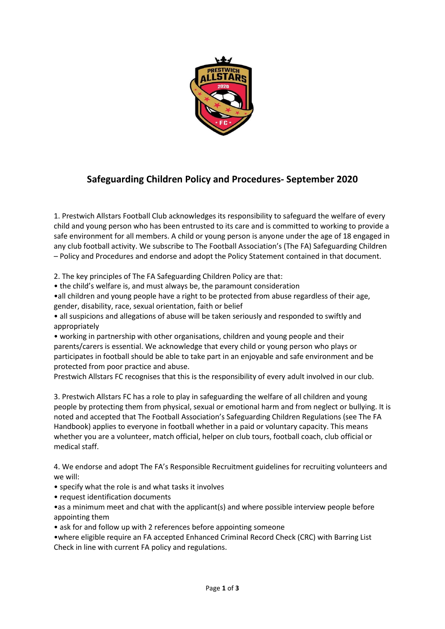

## **Safeguarding Children Policy and Procedures- September 2020**

1. Prestwich Allstars Football Club acknowledges its responsibility to safeguard the welfare of every child and young person who has been entrusted to its care and is committed to working to provide a safe environment for all members. A child or young person is anyone under the age of 18 engaged in any club football activity. We subscribe to The Football Association's (The FA) Safeguarding Children – Policy and Procedures and endorse and adopt the Policy Statement contained in that document.

2. The key principles of The FA Safeguarding Children Policy are that:

• the child's welfare is, and must always be, the paramount consideration

•all children and young people have a right to be protected from abuse regardless of their age, gender, disability, race, sexual orientation, faith or belief

• all suspicions and allegations of abuse will be taken seriously and responded to swiftly and appropriately

• working in partnership with other organisations, children and young people and their parents/carers is essential. We acknowledge that every child or young person who plays or participates in football should be able to take part in an enjoyable and safe environment and be protected from poor practice and abuse.

Prestwich Allstars FC recognises that this is the responsibility of every adult involved in our club.

3. Prestwich Allstars FC has a role to play in safeguarding the welfare of all children and young people by protecting them from physical, sexual or emotional harm and from neglect or bullying. It is noted and accepted that The Football Association's Safeguarding Children Regulations (see The FA Handbook) applies to everyone in football whether in a paid or voluntary capacity. This means whether you are a volunteer, match official, helper on club tours, football coach, club official or medical staff.

4. We endorse and adopt The FA's Responsible Recruitment guidelines for recruiting volunteers and we will:

- specify what the role is and what tasks it involves
- request identification documents

•as a minimum meet and chat with the applicant(s) and where possible interview people before appointing them

• ask for and follow up with 2 references before appointing someone

•where eligible require an FA accepted Enhanced Criminal Record Check (CRC) with Barring List Check in line with current FA policy and regulations.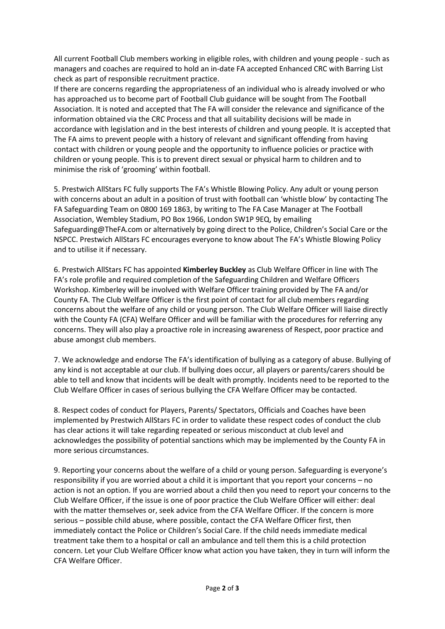All current Football Club members working in eligible roles, with children and young people - such as managers and coaches are required to hold an in-date FA accepted Enhanced CRC with Barring List check as part of responsible recruitment practice.

If there are concerns regarding the appropriateness of an individual who is already involved or who has approached us to become part of Football Club guidance will be sought from The Football Association. It is noted and accepted that The FA will consider the relevance and significance of the information obtained via the CRC Process and that all suitability decisions will be made in accordance with legislation and in the best interests of children and young people. It is accepted that The FA aims to prevent people with a history of relevant and significant offending from having contact with children or young people and the opportunity to influence policies or practice with children or young people. This is to prevent direct sexual or physical harm to children and to minimise the risk of 'grooming' within football.

5. Prestwich AllStars FC fully supports The FA's Whistle Blowing Policy. Any adult or young person with concerns about an adult in a position of trust with football can 'whistle blow' by contacting The FA Safeguarding Team on 0800 169 1863, by writing to The FA Case Manager at The Football Association, Wembley Stadium, PO Box 1966, London SW1P 9EQ, by emailing Safeguarding@TheFA.com or alternatively by going direct to the Police, Children's Social Care or the NSPCC. Prestwich AllStars FC encourages everyone to know about The FA's Whistle Blowing Policy and to utilise it if necessary.

6. Prestwich AllStars FC has appointed **Kimberley Buckley** as Club Welfare Officer in line with The FA's role profile and required completion of the Safeguarding Children and Welfare Officers Workshop. Kimberley will be involved with Welfare Officer training provided by The FA and/or County FA. The Club Welfare Officer is the first point of contact for all club members regarding concerns about the welfare of any child or young person. The Club Welfare Officer will liaise directly with the County FA (CFA) Welfare Officer and will be familiar with the procedures for referring any concerns. They will also play a proactive role in increasing awareness of Respect, poor practice and abuse amongst club members.

7. We acknowledge and endorse The FA's identification of bullying as a category of abuse. Bullying of any kind is not acceptable at our club. If bullying does occur, all players or parents/carers should be able to tell and know that incidents will be dealt with promptly. Incidents need to be reported to the Club Welfare Officer in cases of serious bullying the CFA Welfare Officer may be contacted.

8. Respect codes of conduct for Players, Parents/ Spectators, Officials and Coaches have been implemented by Prestwich AllStars FC in order to validate these respect codes of conduct the club has clear actions it will take regarding repeated or serious misconduct at club level and acknowledges the possibility of potential sanctions which may be implemented by the County FA in more serious circumstances.

9. Reporting your concerns about the welfare of a child or young person. Safeguarding is everyone's responsibility if you are worried about a child it is important that you report your concerns – no action is not an option. If you are worried about a child then you need to report your concerns to the Club Welfare Officer, if the issue is one of poor practice the Club Welfare Officer will either: deal with the matter themselves or, seek advice from the CFA Welfare Officer. If the concern is more serious – possible child abuse, where possible, contact the CFA Welfare Officer first, then immediately contact the Police or Children's Social Care. If the child needs immediate medical treatment take them to a hospital or call an ambulance and tell them this is a child protection concern. Let your Club Welfare Officer know what action you have taken, they in turn will inform the CFA Welfare Officer.